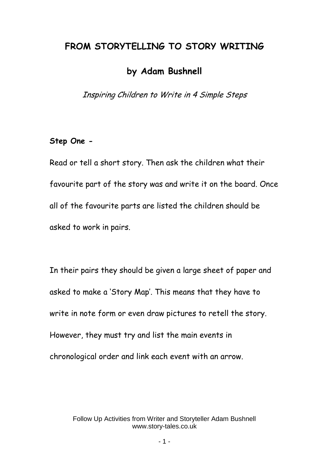## **FROM STORYTELLING TO STORY WRITING**

# **by Adam Bushnell**

Inspiring Children to Write in 4 Simple Steps

#### **Step One -**

Read or tell a short story. Then ask the children what their favourite part of the story was and write it on the board. Once all of the favourite parts are listed the children should be asked to work in pairs.

In their pairs they should be given a large sheet of paper and asked to make a 'Story Map'. This means that they have to write in note form or even draw pictures to retell the story. However, they must try and list the main events in chronological order and link each event with an arrow.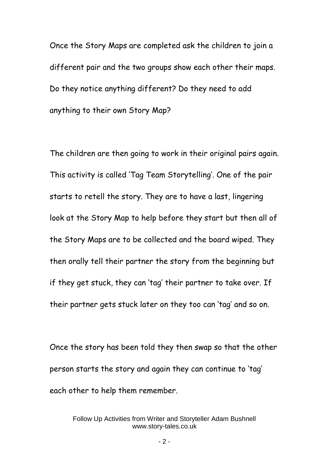Once the Story Maps are completed ask the children to join a different pair and the two groups show each other their maps. Do they notice anything different? Do they need to add anything to their own Story Map?

The children are then going to work in their original pairs again. This activity is called 'Tag Team Storytelling'. One of the pair starts to retell the story. They are to have a last, lingering look at the Story Map to help before they start but then all of the Story Maps are to be collected and the board wiped. They then orally tell their partner the story from the beginning but if they get stuck, they can 'tag' their partner to take over. If their partner gets stuck later on they too can 'tag' and so on.

Once the story has been told they then swap so that the other person starts the story and again they can continue to 'tag' each other to help them remember.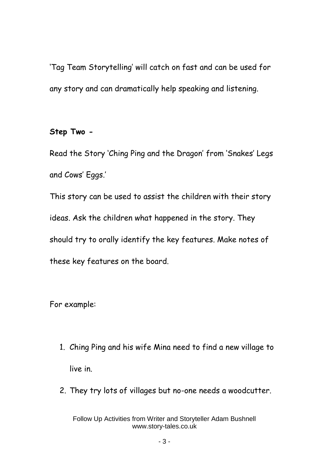'Tag Team Storytelling' will catch on fast and can be used for any story and can dramatically help speaking and listening.

#### **Step Two -**

Read the Story 'Ching Ping and the Dragon' from 'Snakes' Legs and Cows' Eggs.'

This story can be used to assist the children with their story ideas. Ask the children what happened in the story. They should try to orally identify the key features. Make notes of these key features on the board.

For example:

- 1. Ching Ping and his wife Mina need to find a new village to live in.
- 2. They try lots of villages but no-one needs a woodcutter.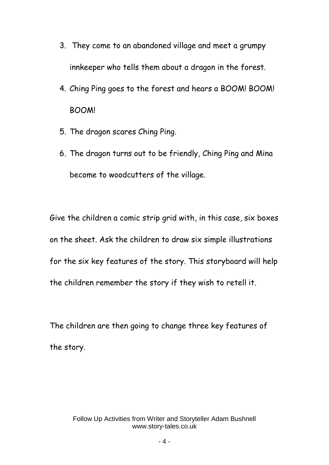- 3. They come to an abandoned village and meet a grumpy innkeeper who tells them about a dragon in the forest.
- 4. Ching Ping goes to the forest and hears a BOOM! BOOM! BOOM!
- 5. The dragon scares Ching Ping.
- 6. The dragon turns out to be friendly, Ching Ping and Mina become to woodcutters of the village.

Give the children a comic strip grid with, in this case, six boxes on the sheet. Ask the children to draw six simple illustrations for the six key features of the story. This storyboard will help the children remember the story if they wish to retell it.

The children are then going to change three key features of the story.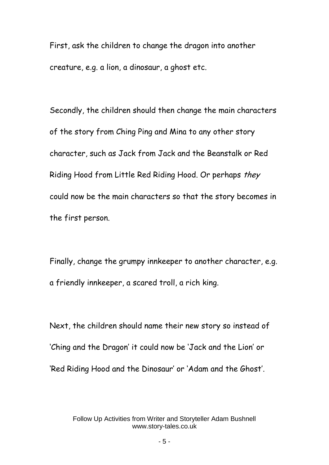First, ask the children to change the dragon into another creature, e.g. a lion, a dinosaur, a ghost etc.

Secondly, the children should then change the main characters of the story from Ching Ping and Mina to any other story character, such as Jack from Jack and the Beanstalk or Red Riding Hood from Little Red Riding Hood. Or perhaps they could now be the main characters so that the story becomes in the first person.

Finally, change the grumpy innkeeper to another character, e.g. a friendly innkeeper, a scared troll, a rich king.

Next, the children should name their new story so instead of 'Ching and the Dragon' it could now be 'Jack and the Lion' or 'Red Riding Hood and the Dinosaur' or 'Adam and the Ghost'.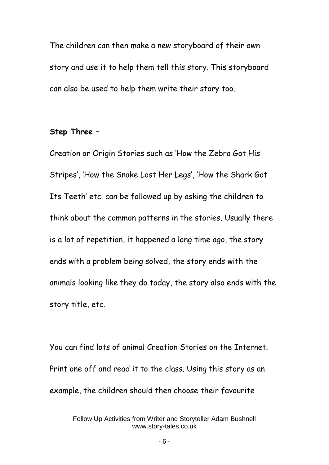The children can then make a new storyboard of their own story and use it to help them tell this story. This storyboard can also be used to help them write their story too.

#### **Step Three –**

Creation or Origin Stories such as 'How the Zebra Got His Stripes', 'How the Snake Lost Her Legs', 'How the Shark Got Its Teeth' etc. can be followed up by asking the children to think about the common patterns in the stories. Usually there is a lot of repetition, it happened a long time ago, the story ends with a problem being solved, the story ends with the animals looking like they do today, the story also ends with the story title, etc.

You can find lots of animal Creation Stories on the Internet. Print one off and read it to the class. Using this story as an example, the children should then choose their favourite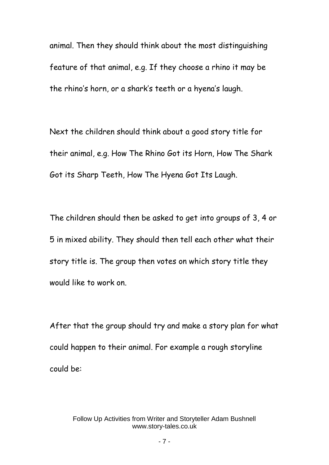animal. Then they should think about the most distinguishing feature of that animal, e.g. If they choose a rhino it may be the rhino's horn, or a shark's teeth or a hyena's laugh.

Next the children should think about a good story title for their animal, e.g. How The Rhino Got its Horn, How The Shark Got its Sharp Teeth, How The Hyena Got Its Laugh.

The children should then be asked to get into groups of 3, 4 or 5 in mixed ability. They should then tell each other what their story title is. The group then votes on which story title they would like to work on.

After that the group should try and make a story plan for what could happen to their animal. For example a rough storyline could be: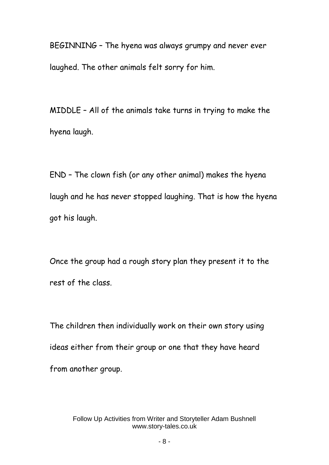BEGINNING – The hyena was always grumpy and never ever laughed. The other animals felt sorry for him.

MIDDLE – All of the animals take turns in trying to make the hyena laugh.

END – The clown fish (or any other animal) makes the hyena laugh and he has never stopped laughing. That is how the hyena got his laugh.

Once the group had a rough story plan they present it to the rest of the class.

The children then individually work on their own story using ideas either from their group or one that they have heard from another group.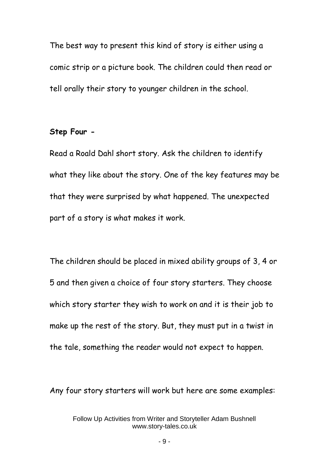The best way to present this kind of story is either using a comic strip or a picture book. The children could then read or tell orally their story to younger children in the school.

### **Step Four -**

Read a Roald Dahl short story. Ask the children to identify what they like about the story. One of the key features may be that they were surprised by what happened. The unexpected part of a story is what makes it work.

The children should be placed in mixed ability groups of 3, 4 or 5 and then given a choice of four story starters. They choose which story starter they wish to work on and it is their job to make up the rest of the story. But, they must put in a twist in the tale, something the reader would not expect to happen.

Any four story starters will work but here are some examples: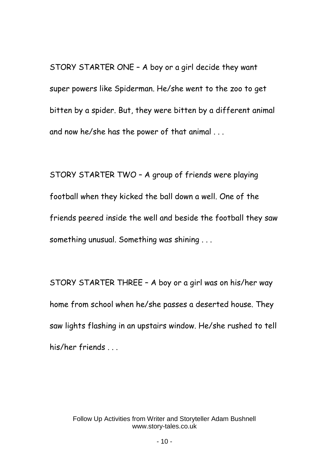STORY STARTER ONE – A boy or a girl decide they want super powers like Spiderman. He/she went to the zoo to get bitten by a spider. But, they were bitten by a different animal and now he/she has the power of that animal . . .

STORY STARTER TWO – A group of friends were playing football when they kicked the ball down a well. One of the friends peered inside the well and beside the football they saw something unusual. Something was shining . . .

STORY STARTER THREE – A boy or a girl was on his/her way home from school when he/she passes a deserted house. They saw lights flashing in an upstairs window. He/she rushed to tell his/her friends ...